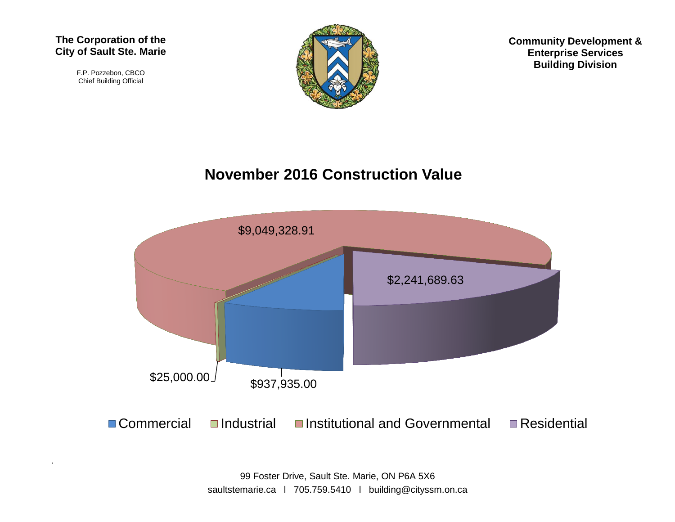#### **The Corporation of the City of Sault Ste. Marie**

F.P. Pozzebon, CBCO Chief Building Official



**Community Development & Enterprise Services Building Division**

#### **November 2016 Construction Value**



99 Foster Drive, Sault Ste. Marie, ON P6A 5X6 saultstemarie.ca | 705.759.5410 | building@cityssm.on.ca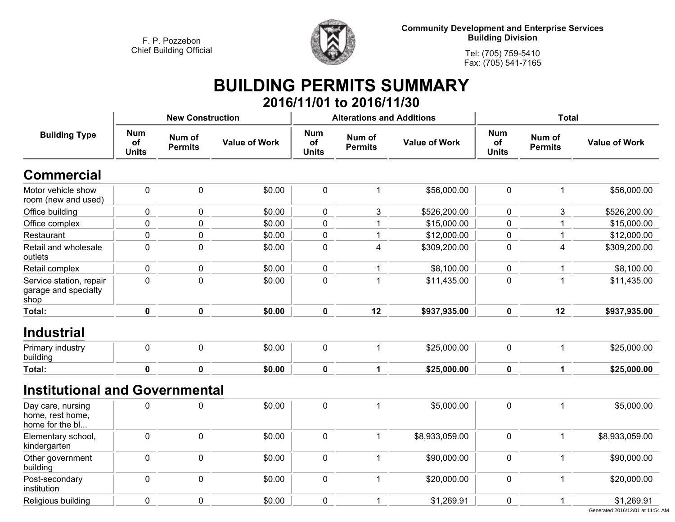

**Community Development and Enterprise Services Building Division**

**Tel: (705) 759-5410Fax: (705) 541-7165**

### **BUILDING PERMITS SUMMARY 2016/11/01 to 2016/11/30**

|                                                          |                                  | <b>New Construction</b>  |                      |                                         | <b>Alterations and Additions</b> |                      | <b>Total</b>                     |                          |                      |
|----------------------------------------------------------|----------------------------------|--------------------------|----------------------|-----------------------------------------|----------------------------------|----------------------|----------------------------------|--------------------------|----------------------|
| <b>Building Type</b>                                     | <b>Num</b><br>of<br><b>Units</b> | Num of<br><b>Permits</b> | <b>Value of Work</b> | <b>Num</b><br><b>of</b><br><b>Units</b> | Num of<br><b>Permits</b>         | <b>Value of Work</b> | <b>Num</b><br>of<br><b>Units</b> | Num of<br><b>Permits</b> | <b>Value of Work</b> |
| <b>Commercial</b>                                        |                                  |                          |                      |                                         |                                  |                      |                                  |                          |                      |
| Motor vehicle show<br>room (new and used)                | $\pmb{0}$                        | $\mathbf 0$              | \$0.00               | $\mathbf 0$                             | 1                                | \$56,000.00          | $\pmb{0}$                        | $\mathbf 1$              | \$56,000.00          |
| Office building                                          | $\pmb{0}$                        | 0                        | \$0.00               | $\mathbf 0$                             | 3                                | \$526,200.00         | 0                                | 3                        | \$526,200.00         |
| Office complex                                           | $\mathbf 0$                      | 0                        | \$0.00               | $\mathbf 0$                             | 1                                | \$15,000.00          | $\mathbf 0$                      | -1                       | \$15,000.00          |
| Restaurant                                               | $\mathbf 0$                      | 0                        | \$0.00               | $\pmb{0}$                               | 1                                | \$12,000.00          | $\mathbf 0$                      | $\overline{1}$           | \$12,000.00          |
| Retail and wholesale<br>outlets                          | $\mathbf 0$                      | $\pmb{0}$                | \$0.00               | $\mathbf 0$                             | 4                                | \$309,200.00         | $\mathbf 0$                      | $\overline{\mathbf{4}}$  | \$309,200.00         |
| Retail complex                                           | $\pmb{0}$                        | 0                        | \$0.00               | $\mathbf 0$                             | 1                                | \$8,100.00           | 0                                | $\overline{1}$           | \$8,100.00           |
| Service station, repair<br>garage and specialty<br>shop  | $\mathbf 0$                      | $\mathbf 0$              | \$0.00               | $\mathbf 0$                             | 1                                | \$11,435.00          | 0                                | $\overline{1}$           | \$11,435.00          |
| <b>Total:</b>                                            | $\pmb{0}$                        | $\pmb{0}$                | \$0.00               | $\mathbf 0$                             | 12                               | \$937,935.00         | $\mathbf 0$                      | 12                       | \$937,935.00         |
| <b>Industrial</b><br>Primary industry                    | $\pmb{0}$                        | $\mathbf 0$              | \$0.00               | $\mathbf 0$                             | 1                                | \$25,000.00          | $\mathbf 0$                      | $\mathbf 1$              | \$25,000.00          |
| building                                                 |                                  |                          |                      |                                         |                                  |                      |                                  |                          |                      |
| <b>Total:</b>                                            | $\mathbf 0$                      | $\mathbf 0$              | \$0.00               | $\mathbf 0$                             | $\mathbf{1}$                     | \$25,000.00          | $\mathbf 0$                      | $\mathbf 1$              | \$25,000.00          |
| <b>Institutional and Governmental</b>                    |                                  |                          |                      |                                         |                                  |                      |                                  |                          |                      |
| Day care, nursing<br>home, rest home,<br>home for the bl | $\mathbf 0$                      | 0                        | \$0.00               | $\mathbf 0$                             | $\mathbf{1}$                     | \$5,000.00           | $\mathbf 0$                      | $\overline{1}$           | \$5,000.00           |
| Elementary school,<br>kindergarten                       | $\mathbf 0$                      | $\mathbf 0$              | \$0.00               | $\mathbf 0$                             | 1                                | \$8,933,059.00       | $\mathbf 0$                      | $\mathbf 1$              | \$8,933,059.00       |
| Other government<br>building                             | $\mathbf 0$                      | $\mathbf 0$              | \$0.00               | $\mathbf 0$                             | $\mathbf{1}$                     | \$90,000.00          | $\mathbf 0$                      | $\overline{1}$           | \$90,000.00          |
| Post-secondary<br>institution                            | $\pmb{0}$                        | $\mathbf 0$              | \$0.00               | $\mathbf 0$                             | $\mathbf 1$                      | \$20,000.00          | $\mathbf 0$                      | $\overline{1}$           | \$20,000.00          |
| Religious building                                       | $\mathbf 0$                      | $\mathbf 0$              | \$0.00               | $\mathbf 0$                             | $\mathbf 1$                      | \$1,269.91           | 0                                | 1                        | \$1,269.91           |
|                                                          |                                  |                          |                      |                                         |                                  |                      |                                  |                          |                      |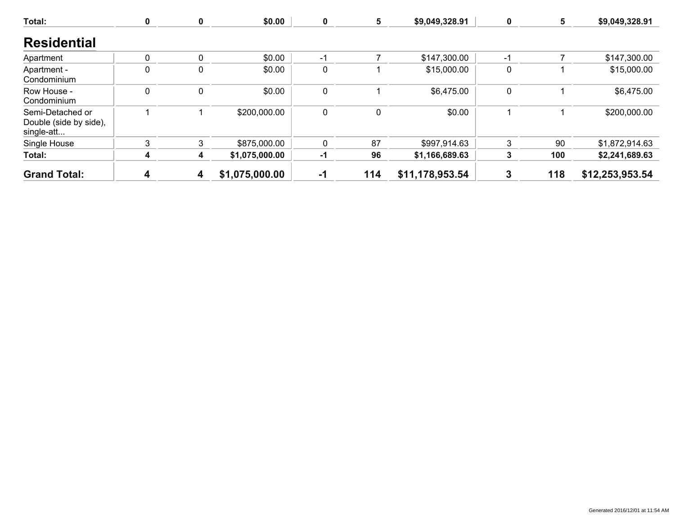| Total:                                                   | $\boldsymbol{0}$ | $\mathbf 0$ | \$0.00         | 0           | 5   | \$9,049,328.91  | 0            | 5   | \$9,049,328.91  |
|----------------------------------------------------------|------------------|-------------|----------------|-------------|-----|-----------------|--------------|-----|-----------------|
| <b>Residential</b>                                       |                  |             |                |             |     |                 |              |     |                 |
| Apartment                                                | 0                | 0           | \$0.00         | $-1$        |     | \$147,300.00    | $-1$         |     | \$147,300.00    |
| Apartment -<br>Condominium                               | 0                | 0           | \$0.00         | $\mathbf 0$ |     | \$15,000.00     | 0            |     | \$15,000.00     |
| Row House -<br>Condominium                               | 0                | 0           | \$0.00         | 0           |     | \$6,475.00      | $\mathbf{0}$ |     | \$6,475.00      |
| Semi-Detached or<br>Double (side by side),<br>single-att |                  |             | \$200,000.00   | 0           | 0   | \$0.00          |              |     | \$200,000.00    |
| Single House                                             | 3                | 3           | \$875,000.00   | $\mathbf 0$ | 87  | \$997,914.63    | 3            | 90  | \$1,872,914.63  |
| Total:                                                   | 4                | 4           | \$1,075,000.00 | -1          | 96  | \$1,166,689.63  | 3            | 100 | \$2,241,689.63  |
| <b>Grand Total:</b>                                      | 4                | 4           | \$1,075,000.00 | $-1$        | 114 | \$11,178,953.54 | 3            | 118 | \$12,253,953.54 |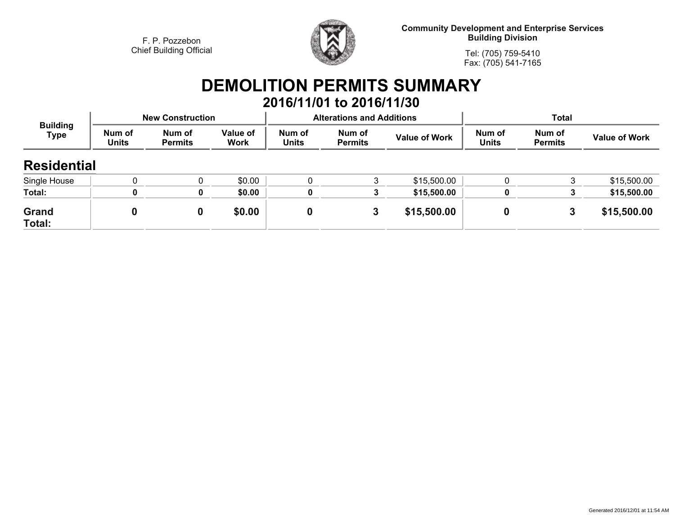

**Community Development and Enterprise Services Building Division**

**Tel: (705) 759-5410Fax: (705) 541-7165**

# **DEMOLITION PERMITS SUMMARY**

|                                |                        |                          |                  |                        | 2016/11/01 to 2016/11/30         |                      |                        |                          |                      |
|--------------------------------|------------------------|--------------------------|------------------|------------------------|----------------------------------|----------------------|------------------------|--------------------------|----------------------|
|                                |                        | <b>New Construction</b>  |                  |                        | <b>Alterations and Additions</b> |                      | <b>Total</b>           |                          |                      |
| <b>Building</b><br><b>Type</b> | Num of<br><b>Units</b> | Num of<br><b>Permits</b> | Value of<br>Work | Num of<br><b>Units</b> | Num of<br><b>Permits</b>         | <b>Value of Work</b> | Num of<br><b>Units</b> | Num of<br><b>Permits</b> | <b>Value of Work</b> |
| <b>Residential</b>             |                        |                          |                  |                        |                                  |                      |                        |                          |                      |
| Single House                   |                        |                          | \$0.00           |                        | 3                                | \$15,500.00          |                        | 3                        | \$15,500.00          |
| Total:                         | 0                      | 0                        | \$0.00           | 0                      | 3                                | \$15,500.00          | 0                      |                          | \$15,500.00          |
| <b>Grand</b><br>Total:         | 0                      | 0                        | \$0.00           |                        | 3                                | \$15,500.00          | 0                      | 3                        | \$15,500.00          |